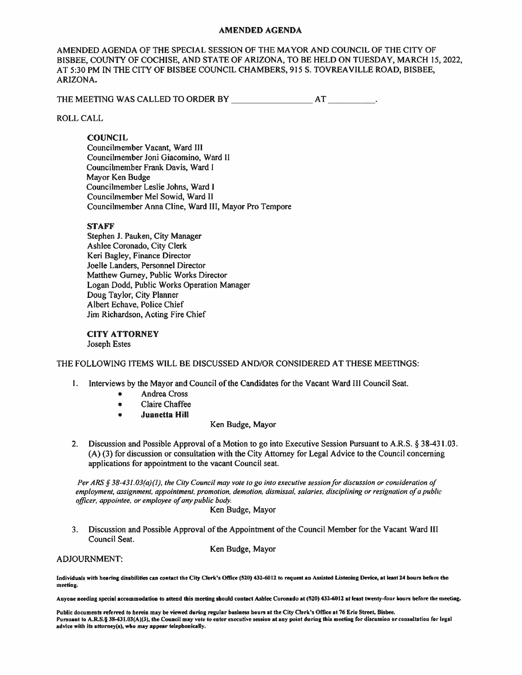#### **AMENDED AGENDA**

AMENDED AGENDA OF THE SPECIAL SESSION OF THE MAYOR AND COUNCIL OF THE CITY OF BISBEE, COUNTY OF COCHISE, AND STATE OF ARIZONA, TO BE HELD ON TUESDAY, MARCH 15, 2022, AT 5:30 PM IN THE CITY OF BISBEE COUNCIL CHAMBERS, 915 S. TOVREAVILLE ROAD, BISBEE, ARIZONA.

### **ROLL CALL**

## **COUNCIL**

Councilmember Vacant, Ward III Councilmember Joni Giacomino, Ward II Councilmember Frank Davis, Ward I Mayor Ken Budge Councilmember Leslie Johns, Ward I Councilmember Mel Sowid, Ward II Councilmember Anna Cline, Ward III, Mayor Pro Tempore

## **STAFF**

Stephen J. Pauken, City Manager Ashlee Coronado, City Clerk Keri Bagley, Finance Director Joelle Landers, Personnel Director Matthew Gurney, Public Works Director Logan Dodd, Public Works Operation Manager Doug Taylor, City Planner Albert Echave, Police Chief Jim Richardson, Acting Fire Chief

#### **CITY ATTORNEY** Joseph Estes

### THE FOLLOWING ITEMS WILL BE DISCUSSED AND/OR CONSIDERED AT THESE MEETINGS:

- 1. Interviews by the Mayor and Council of the Candidates for the Vacant Ward III Council Seat.
	- **Andrea Cross**  $\bullet$
	- **Claire Chaffee**  $\bullet$
	- **Juanetta Hill**  $\bullet$

### Ken Budge, Mayor

 $\mathcal{P}$ Discussion and Possible Approval of a Motion to go into Executive Session Pursuant to A.R.S. § 38-431.03. (A) (3) for discussion or consultation with the City Attorney for Legal Advice to the Council concerning applications for appointment to the vacant Council seat.

Per ARS § 38-431.03(a)(1), the City Council may vote to go into executive session for discussion or consideration of employment, assignment, appointment, promotion, demotion, dismissal, salaries, disciplining or resignation of a public officer, appointee, or employee of any public body.

Ken Budge, Mayor

Discussion and Possible Approval of the Appointment of the Council Member for the Vacant Ward III  $3.$ Council Seat.

**ADJOURNMENT:** 

Ken Budge, Mayor

Individuals with hearing disabilities can contact the City Clerk's Office (520) 432-6012 to request an Assisted Listening Device, at least 24 hours before the meeting.

Anyone needing special accommodation to attend this meeting should contact Ashlee Coronado at (520) 432-6012 at least twenty-four hours before the meeting.

Public documents referred to herein may be viewed during regular business hours at the City Clerk's Office at 76 Erie Street, Bisbee. Pursuant to A.R.S.§ 38-431.03(A)(3), the Council may vote to enter executive session at any point during this meeting for discussion or consultation for legal advice with its attorney(s), who may appear telephonically.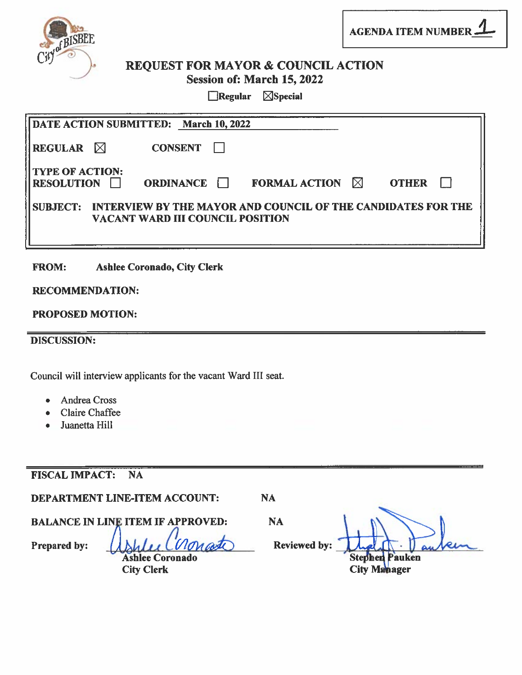

**AGENDA ITEM NUMBER -**

# **REQUEST FOR MAYOR & COUNCIL ACTION** Session of: March 15, 2022

 $\Box$ Regular  $\Box$ Special

|                                             | DATE ACTION SUBMITTED: March 10, 2022   |                                                              |           |              |  |
|---------------------------------------------|-----------------------------------------|--------------------------------------------------------------|-----------|--------------|--|
| <b>REGULAR</b> $\bowtie$                    | <b>CONSENT</b>                          |                                                              |           |              |  |
| <b>TYPE OF ACTION:</b><br><b>RESOLUTION</b> | <b>ORDINANCE</b>                        | <b>FORMAL ACTION</b>                                         | $\bowtie$ | <b>OTHER</b> |  |
| <b>SUBJECT:</b>                             | <b>VACANT WARD III COUNCIL POSITION</b> | INTERVIEW BY THE MAYOR AND COUNCIL OF THE CANDIDATES FOR THE |           |              |  |

**Ashlee Coronado, City Clerk FROM:** 

# **RECOMMENDATION:**

# **PROPOSED MOTION:**

**DISCUSSION:** 

Council will interview applicants for the vacant Ward III seat.

- **Andrea Cross**
- **Claire Chaffee**
- Juanetta Hill

#### **FISCAL IMPACT: NA**

**DEPARTMENT LINE-ITEM ACCOUNT:** 

**NA** 

**BALANCE IN LINE ITEM IF APPROVED:** 

Prepared by: **Ashlee Coronado** 

**City Clerk** 

**NA** Reviewed by:

**Stephen** Pauken **City Manager**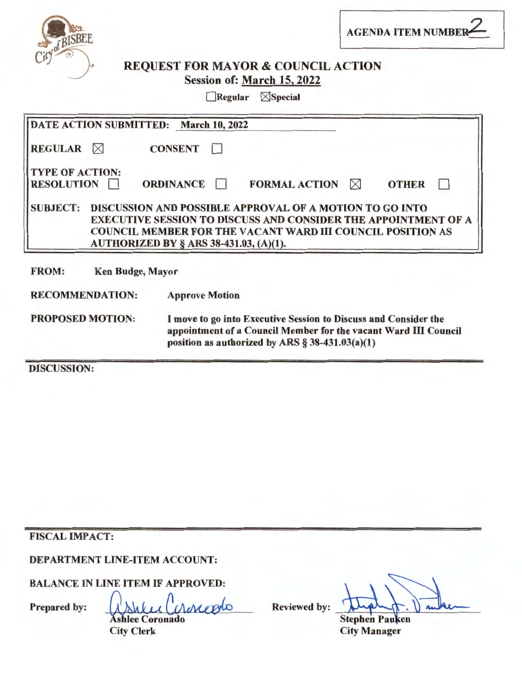

AGENDA ITEM NUMBER

# REQUEST FOR MAYOR & COUNCIL ACTION Session of: March 15, 2022

 $\Box$ Regular  $\Box$ Special

| DATE ACTION SUBMITTED: March 10, 2022       |                                                                                                                                                                                          |  |  |  |  |
|---------------------------------------------|------------------------------------------------------------------------------------------------------------------------------------------------------------------------------------------|--|--|--|--|
| <b>REGULAR</b> $\bowtie$                    | <b>CONSENT</b>                                                                                                                                                                           |  |  |  |  |
| <b>TYPE OF ACTION:</b><br><b>RESOLUTION</b> | <b>ORDINANCE</b><br><b>FORMAL ACTION</b><br><b>OTHER</b><br>$\bowtie$                                                                                                                    |  |  |  |  |
| <b>SUBJECT:</b>                             | <b>DISCUSSION AND POSSIBLE APPROVAL OF A MOTION TO GO INTO</b>                                                                                                                           |  |  |  |  |
|                                             | <b>EXECUTIVE SESSION TO DISCUSS AND CONSIDER THE APPOINTMENT OF A</b>                                                                                                                    |  |  |  |  |
|                                             | <b>COUNCIL MEMBER FOR THE VACANT WARD III COUNCIL POSITION AS</b>                                                                                                                        |  |  |  |  |
|                                             | AUTHORIZED BY § ARS 38-431.03, (A)(1).                                                                                                                                                   |  |  |  |  |
| <b>FROM:</b><br><b>Ken Budge, Mayor</b>     |                                                                                                                                                                                          |  |  |  |  |
| <b>RECOMMENDATION:</b>                      | <b>Approve Motion</b>                                                                                                                                                                    |  |  |  |  |
| <b>PROPOSED MOTION:</b>                     | I move to go into Executive Session to Discuss and Consider the<br>appointment of a Council Member for the vacant Ward III Council<br>position as authorized by ARS $\S$ 38-431.03(a)(1) |  |  |  |  |

DISCUSSION:

FISCAL IMPACT:

DEPARTMENT LINE-ITEM ACCOUNT:

BALANCE IN LINE ITEM IF APPROVED:

Prepared by: While Charcolo

**Ashlee Coronado** City Clerk

**Reviewed by:** 

**Stephen Pauken** City Manager